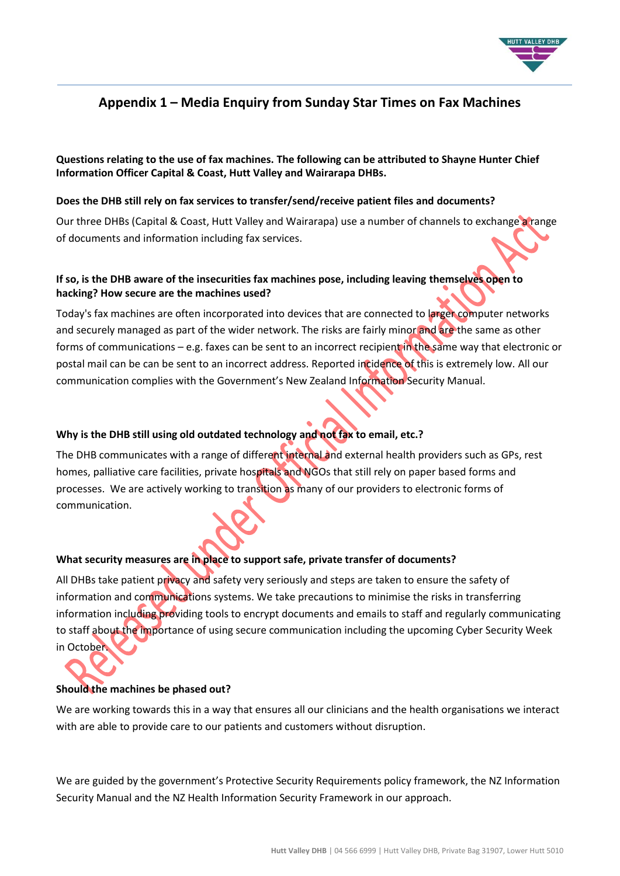

# **Appendix 1 – Media Enquiry from Sunday Star Times on Fax Machines**

**Questions relating to the use of fax machines. The following can be attributed to Shayne Hunter Chief Information Officer Capital & Coast, Hutt Valley and Wairarapa DHBs.**

#### **Does the DHB still rely on fax services to transfer/send/receive patient files and documents?**

Our three DHBs (Capital & Coast, Hutt Valley and Wairarapa) use a number of channels to exchange a range of documents and information including fax services.

## **If so, is the DHB aware of the insecurities fax machines pose, including leaving themselves open to hacking? How secure are the machines used?**

Today's fax machines are often incorporated into devices that are connected to larger computer networks and securely managed as part of the wider network. The risks are fairly minor and are the same as other forms of communications – e.g. faxes can be sent to an incorrect recipient in the same way that electronic or postal mail can be can be sent to an incorrect address. Reported incidence of this is extremely low. All our communication complies with the Government's New Zealand Information Security Manual.

## **Why is the DHB still using old outdated technology and not fax to email, etc.?**

The DHB communicates with a range of different internal and external health providers such as GPs, rest homes, palliative care facilities, private hospitals and NGOs that still rely on paper based forms and processes. We are actively working to transition as many of our providers to electronic forms of communication.

### **What security measures are in place to support safe, private transfer of documents?**

All DHBs take patient privacy and safety very seriously and steps are taken to ensure the safety of information and communications systems. We take precautions to minimise the risks in transferring information including providing tools to encrypt documents and emails to staff and regularly communicating to staff about the importance of using secure communication including the upcoming Cyber Security Week in October.

#### **Should the machines be phased out?**

We are working towards this in a way that ensures all our clinicians and the health organisations we interact with are able to provide care to our patients and customers without disruption.

We are guided by the government's Protective Security Requirements policy framework, the NZ Information Security Manual and the NZ Health Information Security Framework in our approach.